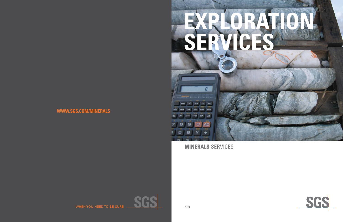





# **WWW.SGS.COM/MINERALS**

2010